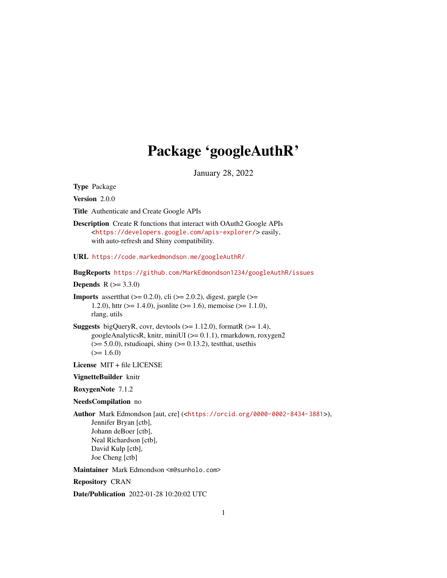# Package 'googleAuthR'

January 28, 2022

<span id="page-0-0"></span>Type Package

Version 2.0.0

Title Authenticate and Create Google APIs

Description Create R functions that interact with OAuth2 Google APIs <<https://developers.google.com/apis-explorer/>> easily, with auto-refresh and Shiny compatibility.

URL <https://code.markedmondson.me/googleAuthR/>

BugReports <https://github.com/MarkEdmondson1234/googleAuthR/issues>

**Depends** R  $(>= 3.3.0)$ 

**Imports** assert that  $(>= 0.2.0)$ , cli  $(>= 2.0.2)$ , digest, gargle  $(>= 1.2.0)$ 1.2.0), httr ( $>= 1.4.0$ ), jsonlite ( $>= 1.6$ ), memoise ( $>= 1.1.0$ ), rlang, utils

**Suggests** bigQueryR, covr, devtools  $(>= 1.12.0)$ , formatR  $(>= 1.4)$ , googleAnalyticsR, knitr, miniUI (>= 0.1.1), rmarkdown, roxygen2  $(>= 5.0.0)$ , rstudioapi, shiny  $(>= 0.13.2)$ , testthat, usethis  $(>= 1.6.0)$ 

License MIT + file LICENSE

VignetteBuilder knitr

RoxygenNote 7.1.2

NeedsCompilation no

Author Mark Edmondson [aut, cre] (<<https://orcid.org/0000-0002-8434-3881>>), Jennifer Bryan [ctb], Johann deBoer [ctb], Neal Richardson [ctb], David Kulp [ctb], Joe Cheng [ctb]

Maintainer Mark Edmondson <m@sunholo.com>

Repository CRAN

Date/Publication 2022-01-28 10:20:02 UTC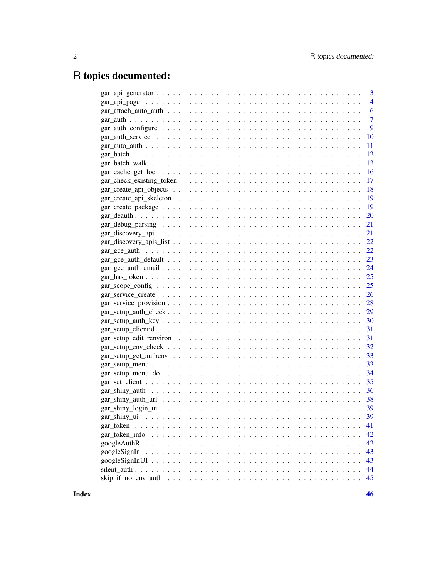## R topics documented:

|                                                                                                                   | $\overline{\mathbf{3}}$ |
|-------------------------------------------------------------------------------------------------------------------|-------------------------|
|                                                                                                                   | $\overline{4}$          |
|                                                                                                                   | 6                       |
|                                                                                                                   | $\overline{7}$          |
| $gar\_auth\_configure \ldots \ldots \ldots \ldots \ldots \ldots \ldots \ldots \ldots \ldots \ldots \ldots \ldots$ | 9                       |
|                                                                                                                   | 10                      |
|                                                                                                                   | 11                      |
|                                                                                                                   | 12                      |
|                                                                                                                   | 13                      |
|                                                                                                                   | 16                      |
|                                                                                                                   | 17                      |
|                                                                                                                   | 18                      |
|                                                                                                                   | 19                      |
|                                                                                                                   | 19                      |
|                                                                                                                   | <b>20</b>               |
|                                                                                                                   | 21                      |
|                                                                                                                   | 21                      |
|                                                                                                                   | 22                      |
|                                                                                                                   | 22                      |
|                                                                                                                   |                         |
|                                                                                                                   |                         |
|                                                                                                                   |                         |
|                                                                                                                   |                         |
|                                                                                                                   | <b>26</b>               |
| $gar\_service\_provision \ldots \ldots \ldots \ldots \ldots \ldots \ldots \ldots \ldots \ldots \ldots$            | 28                      |
|                                                                                                                   | 29                      |
|                                                                                                                   | 30                      |
|                                                                                                                   | 31                      |
|                                                                                                                   | 31                      |
|                                                                                                                   | 32                      |
|                                                                                                                   | 33                      |
|                                                                                                                   | 33                      |
|                                                                                                                   | 34                      |
|                                                                                                                   | 35                      |
|                                                                                                                   | 36                      |
|                                                                                                                   | 38                      |
|                                                                                                                   | 39                      |
|                                                                                                                   | 39                      |
| gar_token                                                                                                         | 41                      |
|                                                                                                                   | 42                      |
|                                                                                                                   | 42                      |
| googleSignIn                                                                                                      | 43                      |
|                                                                                                                   | 43                      |
|                                                                                                                   | 44                      |
| $skip\_if\_no\_env\_auth \dots \dots \dots \dots \dots \dots \dots \dots \dots \dots \dots \dots \dots$           | 45                      |
|                                                                                                                   |                         |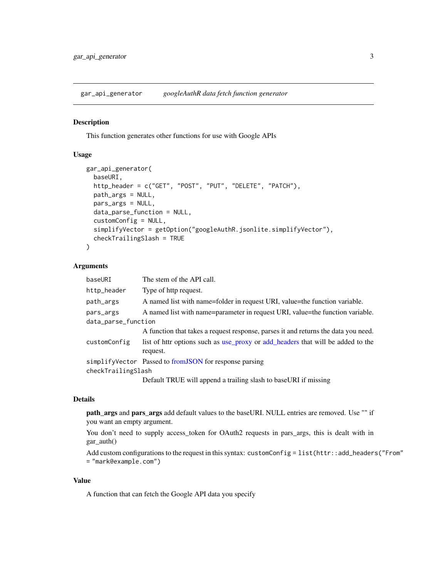<span id="page-2-1"></span><span id="page-2-0"></span>gar\_api\_generator *googleAuthR data fetch function generator*

#### Description

This function generates other functions for use with Google APIs

#### Usage

```
gar_api_generator(
  baseURI,
  http_header = c("GET", "POST", "PUT", "DELETE", "PATCH"),
 path_args = NULL,
 pars_args = NULL,
  data_parse_function = NULL,
  customConfig = NULL,
  simplifyVector = getOption("googleAuthR.jsonlite.simplifyVector"),
  checkTrailingSlash = TRUE
\lambda
```
#### Arguments

| baseURI             | The stem of the API call.                                                                   |  |
|---------------------|---------------------------------------------------------------------------------------------|--|
| http_header         | Type of http request.                                                                       |  |
| path_args           | A named list with name=folder in request URI, value=the function variable.                  |  |
| pars_args           | A named list with name=parameter in request URI, value=the function variable.               |  |
| data_parse_function |                                                                                             |  |
|                     | A function that takes a request response, parses it and returns the data you need.          |  |
| customConfig        | list of httr options such as use_proxy or add_headers that will be added to the<br>request. |  |
|                     | simplifyVector Passed to from JSON for response parsing                                     |  |
| checkTrailingSlash  |                                                                                             |  |
|                     | Default TRUE will append a trailing slash to baseURI if missing                             |  |

## Details

path\_args and pars\_args add default values to the baseURI. NULL entries are removed. Use "" if you want an empty argument.

You don't need to supply access\_token for OAuth2 requests in pars\_args, this is dealt with in gar\_auth()

Add custom configurations to the request in this syntax: customConfig = list(httr::add\_headers("From" = "mark@example.com")

## Value

A function that can fetch the Google API data you specify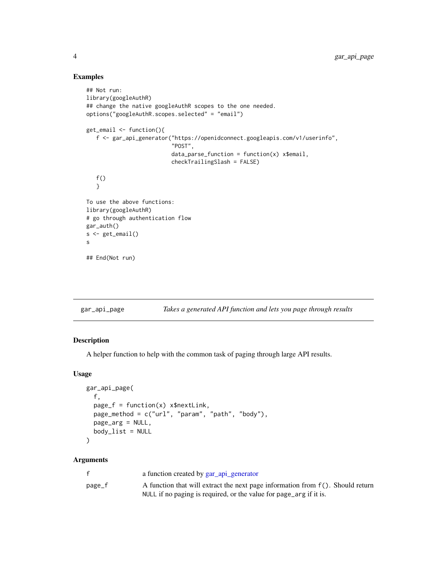## Examples

```
## Not run:
library(googleAuthR)
## change the native googleAuthR scopes to the one needed.
options("googleAuthR.scopes.selected" = "email")
get_email <- function(){
   f <- gar_api_generator("https://openidconnect.googleapis.com/v1/userinfo",
                          "POST",
                          data\_parse\_function = function(x) x$email,
                          checkTrailingSlash = FALSE)
   f()}
To use the above functions:
library(googleAuthR)
# go through authentication flow
gar_auth()
s <- get_email()
s
## End(Not run)
```
gar\_api\_page *Takes a generated API function and lets you page through results*

## Description

A helper function to help with the common task of paging through large API results.

## Usage

```
gar_api_page(
  f,
 page_f = function(x) x$nextLink,
 page_method = c("url", "param", "path", "body"),
 page_arg = NULL,
 body\_list = NULL\mathcal{L}
```
#### Arguments

| f      | a function created by gar_api_generator                                            |
|--------|------------------------------------------------------------------------------------|
| page_f | A function that will extract the next page information from $f(.)$ . Should return |
|        | NULL if no paging is required, or the value for page_arg if it is.                 |

<span id="page-3-0"></span>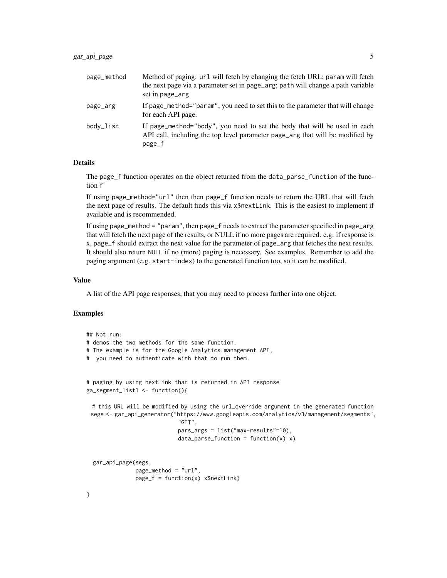| page_method | Method of paging: url will fetch by changing the fetch URL; param will fetch<br>the next page via a parameter set in page_arg; path will change a path variable<br>set in page_arg |
|-------------|------------------------------------------------------------------------------------------------------------------------------------------------------------------------------------|
| page_arg    | If page_method="param", you need to set this to the parameter that will change<br>for each API page.                                                                               |
| body_list   | If page_method="body", you need to set the body that will be used in each<br>API call, including the top level parameter page_arg that will be modified by<br>page_f               |

#### Details

The page\_f function operates on the object returned from the data\_parse\_function of the function f

If using page\_method="url" then then page\_f function needs to return the URL that will fetch the next page of results. The default finds this via x\$nextLink. This is the easiest to implement if available and is recommended.

If using page\_method = "param", then page\_f needs to extract the parameter specified in page\_arg that will fetch the next page of the results, or NULL if no more pages are required. e.g. if response is x, page\_f should extract the next value for the parameter of page\_arg that fetches the next results. It should also return NULL if no (more) paging is necessary. See examples. Remember to add the paging argument (e.g. start-index) to the generated function too, so it can be modified.

#### Value

A list of the API page responses, that you may need to process further into one object.

#### Examples

```
## Not run:
# demos the two methods for the same function.
# The example is for the Google Analytics management API,
# you need to authenticate with that to run them.
# paging by using nextLink that is returned in API response
ga_segment_list1 <- function(){
 # this URL will be modified by using the url_override argument in the generated function
 segs <- gar_api_generator("https://www.googleapis.com/analytics/v3/management/segments",
                            "GET",
                            pars_args = list("max-results"=10),
                            data\_parse\_function = function(x) x)gar_api_page(segs,
              page_method = "url",
              page_f = function(x) x$nextLink)
}
```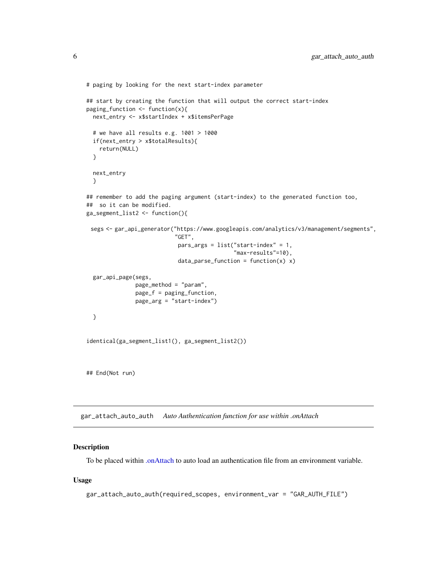```
# paging by looking for the next start-index parameter
## start by creating the function that will output the correct start-index
paging_function <- function(x){
 next_entry <- x$startIndex + x$itemsPerPage
 # we have all results e.g. 1001 > 1000
 if(next_entry > x$totalResults){
   return(NULL)
 }
 next_entry
 }
## remember to add the paging argument (start-index) to the generated function too,
## so it can be modified.
ga_segment_list2 <- function(){
 segs <- gar_api_generator("https://www.googleapis.com/analytics/v3/management/segments",
                           "GET",
                            pars_{args} = list("start-index" = 1,"max-results"=10),
                            data\_parse\_function = function(x) x)gar_api_page(segs,
               page_method = "param",
               page_f = paging_function,
               page_arg = "start-index")
 }
identical(ga_segment_list1(), ga_segment_list2())
## End(Not run)
```
<span id="page-5-1"></span>gar\_attach\_auto\_auth *Auto Authentication function for use within .onAttach*

#### Description

To be placed within [.onAttach](#page-0-0) to auto load an authentication file from an environment variable.

#### Usage

```
gar_attach_auto_auth(required_scopes, environment_var = "GAR_AUTH_FILE")
```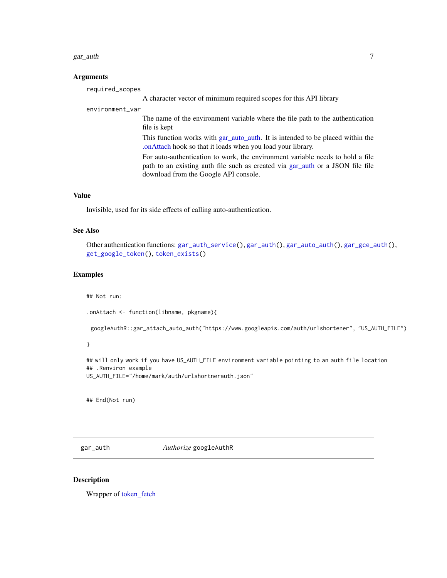#### <span id="page-6-0"></span>gar\_auth 7 and 7 and 7 and 7 and 7 and 7 and 7 and 7 and 7 and 7 and 7 and 7 and 7 and 7 and 7 and 7 and 7 and 7 and 7 and 7 and 7 and 7 and 7 and 7 and 7 and 7 and 7 and 7 and 7 and 7 and 7 and 7 and 7 and 7 and 7 and 7 a

#### **Arguments**

A character vector of minimum required scopes for this API library

#### environment\_var

required\_scopes

The name of the environment variable where the file path to the authentication file is kept

This function works with [gar\\_auto\\_auth.](#page-10-1) It is intended to be placed within the [.onAttach](#page-0-0) hook so that it loads when you load your library.

For auto-authentication to work, the environment variable needs to hold a file path to an existing auth file such as created via [gar\\_auth](#page-6-1) or a JSON file file download from the Google API console.

## Value

Invisible, used for its side effects of calling auto-authentication.

#### See Also

```
Other authentication functions: gar_auth_service(), gar_auth(), gar_auto_auth(), gar_gce_auth(),
get_google_token(), token_exists()
```
#### Examples

## Not run:

.onAttach <- function(libname, pkgname){

googleAuthR::gar\_attach\_auto\_auth("https://www.googleapis.com/auth/urlshortener", "US\_AUTH\_FILE")

## }

## will only work if you have US\_AUTH\_FILE environment variable pointing to an auth file location ## .Renviron example US\_AUTH\_FILE="/home/mark/auth/urlshortnerauth.json"

## End(Not run)

<span id="page-6-1"></span>gar\_auth *Authorize* googleAuthR

#### Description

Wrapper of [token\\_fetch](#page-0-0)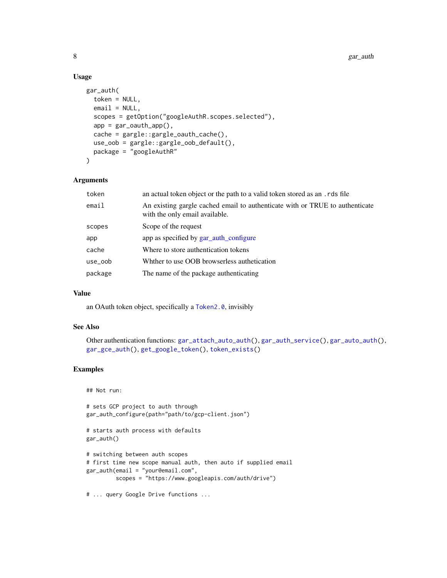## Usage

```
gar_auth(
  token = NULL,
 email = NULL,scopes = getOption("googleAuthR.scopes.selected"),
  app = gar_outh_app(),
 cache = gargle::gargle_oauth_cache(),
 use_oob = gargle::gargle_oob_default(),
 package = "googleAuthR"
)
```
## Arguments

| token   | an actual token object or the path to a valid token stored as an .rds file                                     |  |
|---------|----------------------------------------------------------------------------------------------------------------|--|
| email   | An existing gargle cached email to authenticate with or TRUE to authenticate<br>with the only email available. |  |
| scopes  | Scope of the request                                                                                           |  |
| app     | app as specified by gar auth configure                                                                         |  |
| cache   | Where to store authentication tokens                                                                           |  |
| use_oob | Whther to use OOB browserless authetication                                                                    |  |
| package | The name of the package authenticating                                                                         |  |
|         |                                                                                                                |  |

## Value

an OAuth token object, specifically a [Token2.0](#page-0-0), invisibly

## See Also

```
Other authentication functions: gar_attach_auto_auth(), gar_auth_service(), gar_auto_auth(),
gar_gce_auth(), get_google_token(), token_exists()
```
## Examples

## Not run:

# sets GCP project to auth through gar\_auth\_configure(path="path/to/gcp-client.json")

```
# starts auth process with defaults
gar_auth()
```

```
# switching between auth scopes
# first time new scope manual auth, then auto if supplied email
gar_auth(email = "your@email.com",
        scopes = "https://www.googleapis.com/auth/drive")
```

```
# ... query Google Drive functions ...
```
<span id="page-7-0"></span>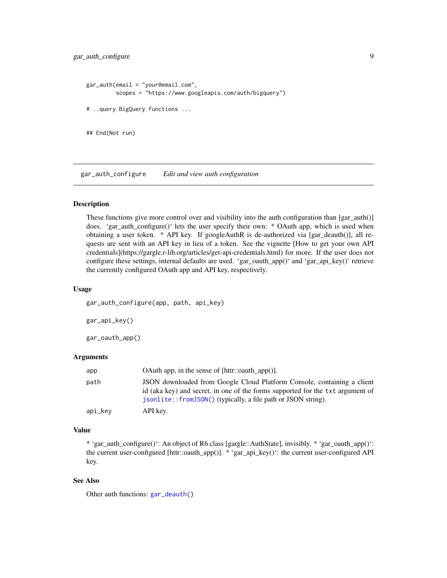```
gar_auth(email = "your@email.com",
         scopes = "https://www.googleapis.com/auth/bigquery")
# ..query BigQuery functions ...
## End(Not run)
```
<span id="page-8-1"></span>gar\_auth\_configure *Edit and view auth configuration*

#### Description

These functions give more control over and visibility into the auth configuration than  $\frac{1}{2}$  [gar\_auth()] does. 'gar\_auth\_configure()' lets the user specify their own: \* OAuth app, which is used when obtaining a user token. \* API key. If googleAuthR is de-authorized via [gar\_deauth()], all requests are sent with an API key in lieu of a token. See the vignette [How to get your own API credentials](https://gargle.r-lib.org/articles/get-api-credentials.html) for more. If the user does not configure these settings, internal defaults are used. 'gar\_oauth\_app()' and 'gar\_api\_key()' retrieve the currently configured OAuth app and API key, respectively.

#### Usage

gar\_auth\_configure(app, path, api\_key)

gar\_api\_key()

gar\_oauth\_app()

## Arguments

| app     | OAuth app, in the sense of $[http::countn_app()].$                                                                                                                                                                         |
|---------|----------------------------------------------------------------------------------------------------------------------------------------------------------------------------------------------------------------------------|
| path    | JSON downloaded from Google Cloud Platform Console, containing a client<br>id (aka key) and secret, in one of the forms supported for the txt argument of<br>isonlite::fromJSON() (typically, a file path or JSON string). |
| api_key | API key.                                                                                                                                                                                                                   |

#### Value

\* 'gar\_auth\_configure()': An object of R6 class [gargle::AuthState], invisibly. \* 'gar\_oauth\_app()': the current user-configured [httr::oauth\_app()]. \* 'gar\_api\_key()': the current user-configured API key.

#### See Also

Other auth functions: [gar\\_deauth\(](#page-19-1))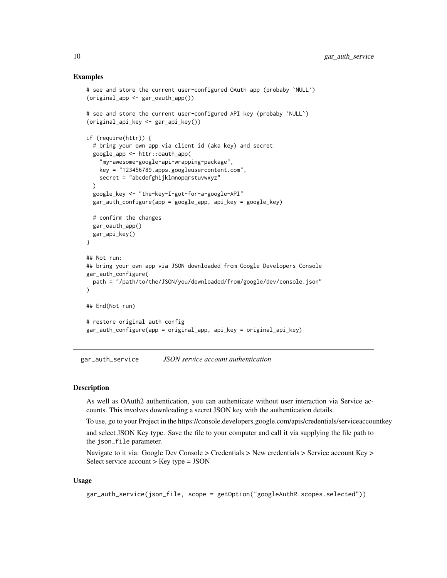#### Examples

```
# see and store the current user-configured OAuth app (probaby `NULL`)
(original_app <- gar_oauth_app())
# see and store the current user-configured API key (probaby `NULL`)
(original_api_key <- gar_api_key())
if (require(httr)) {
 # bring your own app via client id (aka key) and secret
 google_app <- httr::oauth_app(
    "my-awesome-google-api-wrapping-package",
   key = "123456789.apps.googleusercontent.com",
   secret = "abcdefghijklmnopqrstuvwxyz"
 \lambdagoogle_key <- "the-key-I-got-for-a-google-API"
 gar_auth_configure(app = google_app, api_key = google_key)
 # confirm the changes
 gar_oauth_app()
 gar_api_key()
}
## Not run:
## bring your own app via JSON downloaded from Google Developers Console
gar_auth_configure(
 path = "/path/to/the/JSON/you/downloaded/from/google/dev/console.json"
\lambda## End(Not run)
# restore original auth config
gar_auth_configure(app = original_app, api_key = original_api_key)
```
<span id="page-9-1"></span>gar\_auth\_service *JSON service account authentication*

#### **Description**

As well as OAuth2 authentication, you can authenticate without user interaction via Service accounts. This involves downloading a secret JSON key with the authentication details.

To use, go to your Project in the https://console.developers.google.com/apis/credentials/serviceaccountkey

and select JSON Key type. Save the file to your computer and call it via supplying the file path to the json\_file parameter.

Navigate to it via: Google Dev Console > Credentials > New credentials > Service account Key > Select service account > Key type = JSON

#### Usage

```
gar_auth_service(json_file, scope = getOption("googleAuthR.scopes.selected"))
```
<span id="page-9-0"></span>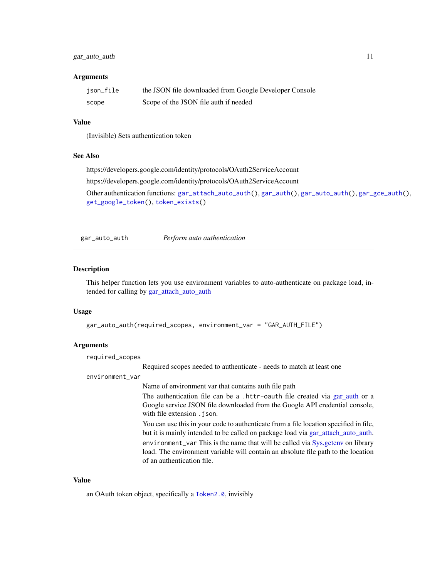## <span id="page-10-0"></span>gar\_auto\_auth 11

#### **Arguments**

| json_file | the JSON file downloaded from Google Developer Console |
|-----------|--------------------------------------------------------|
| scope     | Scope of the JSON file auth if needed                  |

## Value

(Invisible) Sets authentication token

#### See Also

https://developers.google.com/identity/protocols/OAuth2ServiceAccount

https://developers.google.com/identity/protocols/OAuth2ServiceAccount

Other authentication functions: [gar\\_attach\\_auto\\_auth\(](#page-5-1)), [gar\\_auth\(](#page-6-1)), [gar\\_auto\\_auth\(](#page-10-1)), [gar\\_gce\\_auth\(](#page-21-1)), [get\\_google\\_token\(](#page-0-0)), [token\\_exists\(](#page-0-0))

<span id="page-10-1"></span>gar\_auto\_auth *Perform auto authentication*

## Description

This helper function lets you use environment variables to auto-authenticate on package load, intended for calling by [gar\\_attach\\_auto\\_auth](#page-5-1)

#### Usage

```
gar_auto_auth(required_scopes, environment_var = "GAR_AUTH_FILE")
```
## Arguments

required\_scopes

Required scopes needed to authenticate - needs to match at least one

#### environment\_var

Name of environment var that contains auth file path

The authentication file can be a .httr-oauth file created via [gar\\_auth](#page-6-1) or a Google service JSON file downloaded from the Google API credential console, with file extension . json.

You can use this in your code to authenticate from a file location specified in file, but it is mainly intended to be called on package load via [gar\\_attach\\_auto\\_auth.](#page-5-1) environment\_var This is the name that will be called via [Sys.getenv](#page-0-0) on library load. The environment variable will contain an absolute file path to the location of an authentication file.

#### Value

an OAuth token object, specifically a [Token2.0](#page-0-0), invisibly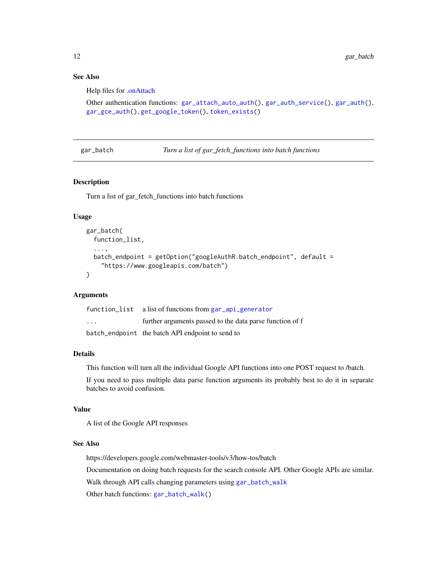## See Also

Help files for [.onAttach](#page-0-0)

```
Other authentication functions: gar_attach_auto_auth(), gar_auth_service(), gar_auth(),
gar_gce_auth(), get_google_token(), token_exists()
```
<span id="page-11-1"></span>gar\_batch *Turn a list of gar\_fetch\_functions into batch functions*

## Description

Turn a list of gar\_fetch\_functions into batch functions

## Usage

```
gar_batch(
  function_list,
  ...,
  batch_endpoint = getOption("googleAuthR.batch_endpoint", default =
    "https://www.googleapis.com/batch")
)
```
## Arguments

|         | function_list a list of functions from gar_api_generator |
|---------|----------------------------------------------------------|
| $\cdot$ | further arguments passed to the data parse function of f |
|         | batch_endpoint the batch API endpoint to send to         |

#### Details

This function will turn all the individual Google API functions into one POST request to /batch.

If you need to pass multiple data parse function arguments its probably best to do it in separate batches to avoid confusion.

## Value

A list of the Google API responses

#### See Also

https://developers.google.com/webmaster-tools/v3/how-tos/batch Documentation on doing batch requests for the search console API. Other Google APIs are similar. Walk through API calls changing parameters using [gar\\_batch\\_walk](#page-12-1) Other batch functions: [gar\\_batch\\_walk\(](#page-12-1))

<span id="page-11-0"></span>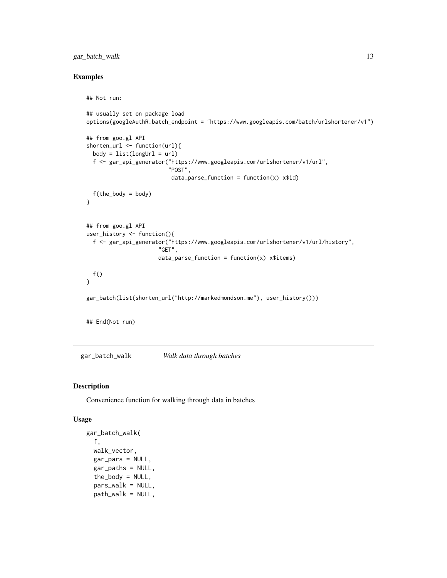## <span id="page-12-0"></span>gar\_batch\_walk 13

## Examples

```
## Not run:
## usually set on package load
options(googleAuthR.batch_endpoint = "https://www.googleapis.com/batch/urlshortener/v1")
## from goo.gl API
shorten_url <- function(url){
  body = list(longUn1 = url)f <- gar_api_generator("https://www.googleapis.com/urlshortener/v1/url",
                         "POST",
                          data\_parse\_function = function(x) x$id)
  f(the_body = body)
}
## from goo.gl API
user_history <- function(){
  f <- gar_api_generator("https://www.googleapis.com/urlshortener/v1/url/history",
                      "GET",
                      data\_parse\_function = function(x) x$items)
 f()}
gar_batch(list(shorten_url("http://markedmondson.me"), user_history()))
## End(Not run)
```
<span id="page-12-1"></span>gar\_batch\_walk *Walk data through batches*

## Description

Convenience function for walking through data in batches

## Usage

```
gar_batch_walk(
  f,
  walk_vector,
  gar_pars = NULL,
  gar_paths = NULL,
  the_body = NULL,
  pars_walk = NULL,
  path_walk = NULL,
```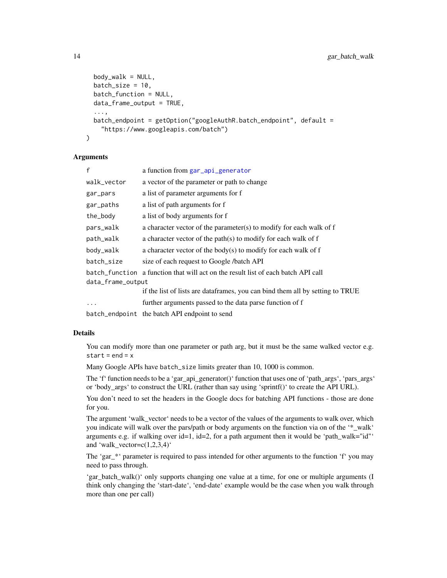```
body_walk = NULL,
  batch_size = 10,
 batch_function = NULL,
  data_frame_output = TRUE,
  ...,
 batch_endpoint = getOption("googleAuthR.batch_endpoint", default =
    "https://www.googleapis.com/batch")
)
```
## Arguments

| f                 | a function from gar_api_generator                                                 |  |
|-------------------|-----------------------------------------------------------------------------------|--|
| walk_vector       | a vector of the parameter or path to change                                       |  |
| gar_pars          | a list of parameter arguments for f                                               |  |
| gar_paths         | a list of path arguments for f                                                    |  |
| the_body          | a list of body arguments for f                                                    |  |
| pars_walk         | a character vector of the parameter(s) to modify for each walk of f               |  |
| path_walk         | a character vector of the path(s) to modify for each walk of f                    |  |
| body_walk         | a character vector of the body(s) to modify for each walk of f                    |  |
| batch_size        | size of each request to Google /batch API                                         |  |
|                   | batch function a function that will act on the result list of each batch API call |  |
| data_frame_output |                                                                                   |  |
|                   | if the list of lists are dataframes, you can bind them all by setting to TRUE     |  |
|                   | further arguments passed to the data parse function of f                          |  |
|                   | batch_endpoint the batch API endpoint to send                                     |  |

#### Details

You can modify more than one parameter or path arg, but it must be the same walked vector e.g. start =  $end = x$ 

Many Google APIs have batch\_size limits greater than 10, 1000 is common.

The 'f' function needs to be a 'gar\_api\_generator()' function that uses one of 'path\_args', 'pars\_args' or 'body\_args' to construct the URL (rather than say using 'sprintf()' to create the API URL).

You don't need to set the headers in the Google docs for batching API functions - those are done for you.

The argument 'walk\_vector' needs to be a vector of the values of the arguments to walk over, which you indicate will walk over the pars/path or body arguments on the function via on of the '\* walk' arguments e.g. if walking over id=1, id=2, for a path argument then it would be 'path\_walk="id"' and 'walk\_vector= $c(1,2,3,4)'$ 

The 'gar\_\*' parameter is required to pass intended for other arguments to the function 'f' you may need to pass through.

'gar\_batch\_walk()' only supports changing one value at a time, for one or multiple arguments (I think only changing the 'start-date', 'end-date' example would be the case when you walk through more than one per call)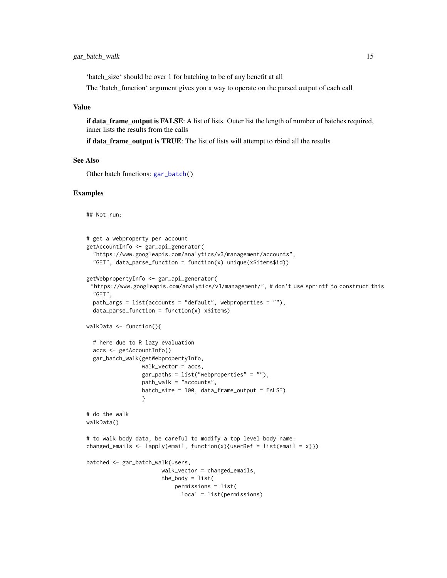<span id="page-14-0"></span>'batch\_size' should be over 1 for batching to be of any benefit at all

The 'batch\_function' argument gives you a way to operate on the parsed output of each call

#### Value

if data\_frame\_output is FALSE: A list of lists. Outer list the length of number of batches required, inner lists the results from the calls

if data frame output is TRUE: The list of lists will attempt to rbind all the results

#### See Also

Other batch functions: [gar\\_batch\(](#page-11-1))

#### Examples

## Not run:

```
# get a webproperty per account
getAccountInfo <- gar_api_generator(
  "https://www.googleapis.com/analytics/v3/management/accounts",
  "GET", data_parse_function = function(x) unique(x$items$id))
getWebpropertyInfo <- gar_api_generator(
 "https://www.googleapis.com/analytics/v3/management/", # don't use sprintf to construct this
 "GET",
 path_args = list(accounts = "default", webproperties = ""),
 data\_parse\_function = function(x) x$items)walkData <- function(){
 # here due to R lazy evaluation
 accs <- getAccountInfo()
 gar_batch_walk(getWebpropertyInfo,
                 walk_vector = accs,
                 gar\_paths = list("webproperties" = ""),
                 path_walk = "accounts",
                 batch_size = 100, data_frame_output = FALSE)
                 }
# do the walk
walkData()
# to walk body data, be careful to modify a top level body name:
changed_emails <- lapply(email, function(x){userRef = list(email = x)})
batched <- gar_batch_walk(users,
                       walk_vector = changed_emails,
                       the_body = list(permissions = list(
                             local = list(permissions)
```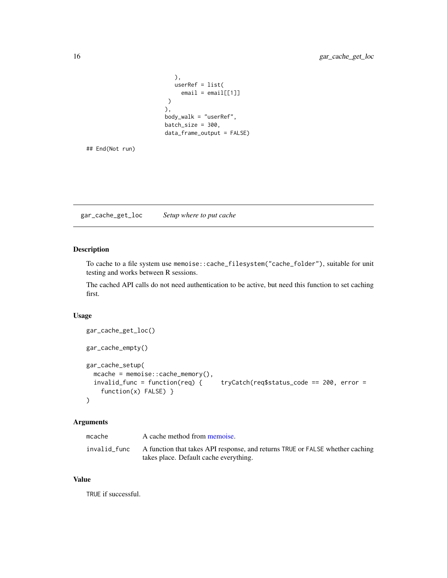```
),
   userRef = list(
     email = email[1]]\lambda),
body_walk = "userRef",
batch_size = 300,
data_frame_output = FALSE)
```
## End(Not run)

gar\_cache\_get\_loc *Setup where to put cache*

## Description

To cache to a file system use memoise::cache\_filesystem("cache\_folder"), suitable for unit testing and works between R sessions.

The cached API calls do not need authentication to be active, but need this function to set caching first.

#### Usage

```
gar_cache_get_loc()
gar_cache_empty()
gar_cache_setup(
 mcache = memoise::cache_memory(),
  invalid_func = function(req) { tryCatch(req$status_code == 200, error =
    function(x) FALSE) }
\mathcal{L}
```
## Arguments

| A function that takes API response, and returns TRUE or FALSE whether caching |
|-------------------------------------------------------------------------------|
|                                                                               |

#### Value

TRUE if successful.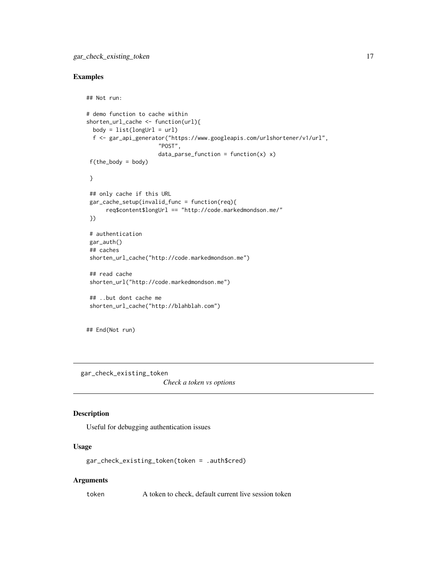## <span id="page-16-0"></span>Examples

```
## Not run:
# demo function to cache within
shorten_url_cache <- function(url){
 body = list(longUn1 = url)f <- gar_api_generator("https://www.googleapis.com/urlshortener/v1/url",
                      "POST",
                      data\_parse\_function = function(x) x)f(the\_body = body)}
## only cache if this URL
gar_cache_setup(invalid_func = function(req){
     req$content$longUrl == "http://code.markedmondson.me/"
})
# authentication
gar_auth()
## caches
shorten_url_cache("http://code.markedmondson.me")
## read cache
shorten_url("http://code.markedmondson.me")
## ..but dont cache me
shorten_url_cache("http://blahblah.com")
```
## End(Not run)

gar\_check\_existing\_token

*Check a token vs options*

## Description

Useful for debugging authentication issues

## Usage

```
gar_check_existing_token(token = .auth$cred)
```
#### Arguments

token A token to check, default current live session token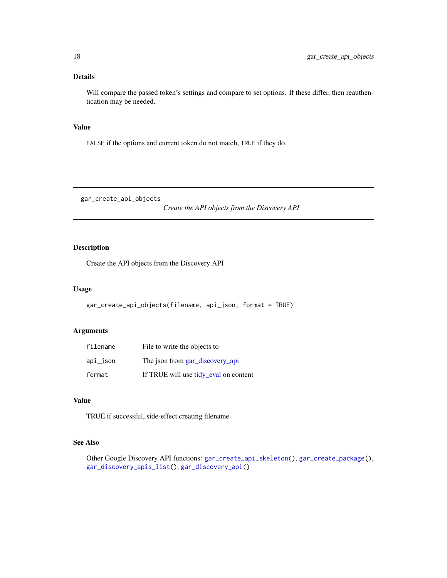## <span id="page-17-0"></span>Details

Will compare the passed token's settings and compare to set options. If these differ, then reauthentication may be needed.

#### Value

FALSE if the options and current token do not match, TRUE if they do.

<span id="page-17-1"></span>gar\_create\_api\_objects

*Create the API objects from the Discovery API*

## Description

Create the API objects from the Discovery API

## Usage

```
gar_create_api_objects(filename, api_json, format = TRUE)
```
## Arguments

| filename    | File to write the objects to          |
|-------------|---------------------------------------|
| $api_$ ison | The json from gar_discovery_api       |
| format      | If TRUE will use tidy_eval on content |

#### Value

TRUE if successful, side-effect creating filename

## See Also

Other Google Discovery API functions: [gar\\_create\\_api\\_skeleton\(](#page-18-1)), [gar\\_create\\_package\(](#page-18-2)), [gar\\_discovery\\_apis\\_list\(](#page-21-2)), [gar\\_discovery\\_api\(](#page-20-1))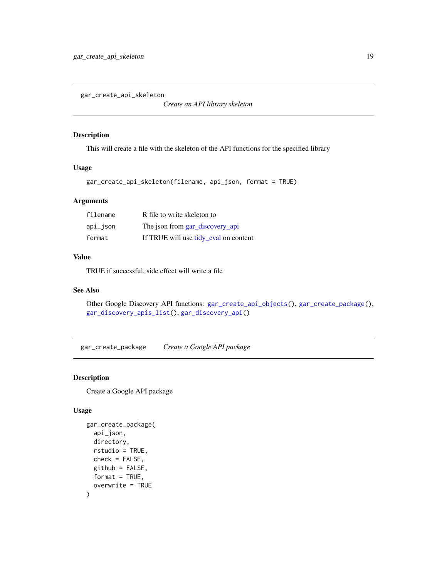<span id="page-18-1"></span><span id="page-18-0"></span>gar\_create\_api\_skeleton

*Create an API library skeleton*

#### Description

This will create a file with the skeleton of the API functions for the specified library

## Usage

```
gar_create_api_skeleton(filename, api_json, format = TRUE)
```
## Arguments

| filename | R file to write skeleton to           |
|----------|---------------------------------------|
| api_json | The json from gar_discovery_api       |
| format   | If TRUE will use tidy_eval on content |

## Value

TRUE if successful, side effect will write a file

#### See Also

```
Other Google Discovery API functions: gar_create_api_objects(), gar_create_package(),
gar_discovery_apis_list(), gar_discovery_api()
```
<span id="page-18-2"></span>gar\_create\_package *Create a Google API package*

## Description

Create a Google API package

## Usage

```
gar_create_package(
  api_json,
 directory,
  rstudio = TRUE,
 check = FALSE,
 github = FALSE,format = TRUE,overwrite = TRUE
)
```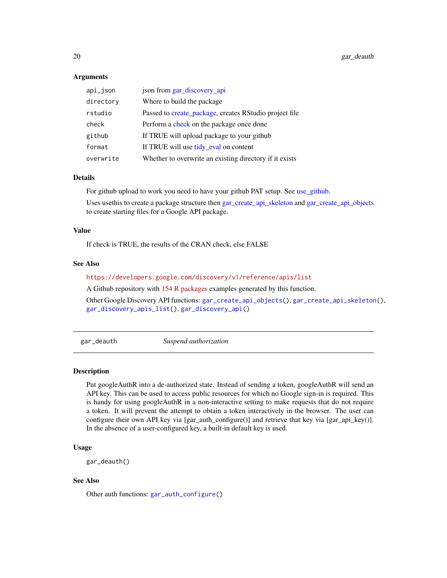#### <span id="page-19-0"></span>Arguments

| api_json  | json from gar_discovery_api                             |
|-----------|---------------------------------------------------------|
| directory | Where to build the package.                             |
| rstudio   | Passed to create_package, creates RStudio project file  |
| check     | Perform a check on the package once done                |
| github    | If TRUE will upload package to your github              |
| format    | If TRUE will use tidy_eval on content                   |
| overwrite | Whether to overwrite an existing directory if it exists |

#### Details

For github upload to work you need to have your github PAT setup. See [use\\_github.](#page-0-0)

Uses usethis to create a package structure then [gar\\_create\\_api\\_skeleton](#page-18-1) and [gar\\_create\\_api\\_objects](#page-17-1) to create starting files for a Google API package.

#### Value

If check is TRUE, the results of the CRAN check, else FALSE

#### See Also

## <https://developers.google.com/discovery/v1/reference/apis/list>

A Github repository with [154 R packages](https://github.com/MarkEdmondson1234/autoGoogleAPI) examples generated by this function.

Other Google Discovery API functions: [gar\\_create\\_api\\_objects\(](#page-17-1)), [gar\\_create\\_api\\_skeleton\(](#page-18-1)), [gar\\_discovery\\_apis\\_list\(](#page-21-2)), [gar\\_discovery\\_api\(](#page-20-1))

<span id="page-19-1"></span>gar\_deauth *Suspend authorization*

#### Description

Put googleAuthR into a de-authorized state. Instead of sending a token, googleAuthR will send an API key. This can be used to access public resources for which no Google sign-in is required. This is handy for using googleAuthR in a non-interactive setting to make requests that do not require a token. It will prevent the attempt to obtain a token interactively in the browser. The user can configure their own API key via [gar\_auth\_configure()] and retrieve that key via [gar\_api\_key()]. In the absence of a user-configured key, a built-in default key is used.

## Usage

```
gar_deauth()
```
#### See Also

Other auth functions: [gar\\_auth\\_configure\(](#page-8-1))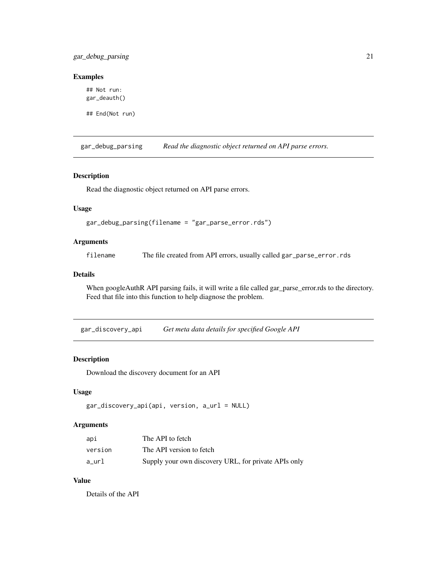<span id="page-20-0"></span>gar\_debug\_parsing 21

## Examples

## Not run: gar\_deauth()

## End(Not run)

gar\_debug\_parsing *Read the diagnostic object returned on API parse errors.*

## Description

Read the diagnostic object returned on API parse errors.

## Usage

gar\_debug\_parsing(filename = "gar\_parse\_error.rds")

## Arguments

filename The file created from API errors, usually called gar\_parse\_error.rds

## Details

When googleAuthR API parsing fails, it will write a file called gar\_parse\_error.rds to the directory. Feed that file into this function to help diagnose the problem.

<span id="page-20-1"></span>gar\_discovery\_api *Get meta data details for specified Google API*

## Description

Download the discovery document for an API

#### Usage

```
gar_discovery_api(api, version, a_url = NULL)
```
## Arguments

| api     | The API to fetch                                     |
|---------|------------------------------------------------------|
| version | The API version to fetch                             |
| a url   | Supply your own discovery URL, for private APIs only |

## Value

Details of the API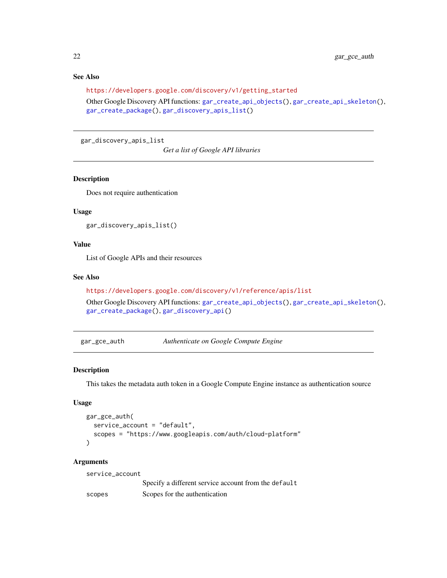## See Also

[https://developers.google.com/discovery/v1/getting\\_started](https://developers.google.com/discovery/v1/getting_started)

Other Google Discovery API functions: [gar\\_create\\_api\\_objects\(](#page-17-1)), [gar\\_create\\_api\\_skeleton\(](#page-18-1)), [gar\\_create\\_package\(](#page-18-2)), [gar\\_discovery\\_apis\\_list\(](#page-21-2))

<span id="page-21-2"></span>gar\_discovery\_apis\_list

*Get a list of Google API libraries*

#### Description

Does not require authentication

#### Usage

gar\_discovery\_apis\_list()

## Value

List of Google APIs and their resources

#### See Also

```
https://developers.google.com/discovery/v1/reference/apis/list
Other Google Discovery API functions: gar_create_api_objects(), gar_create_api_skeleton(),
```
[gar\\_create\\_package\(](#page-18-2)), [gar\\_discovery\\_api\(](#page-20-1))

<span id="page-21-1"></span>gar\_gce\_auth *Authenticate on Google Compute Engine*

#### Description

This takes the metadata auth token in a Google Compute Engine instance as authentication source

#### Usage

```
gar_gce_auth(
  service_account = "default",
  scopes = "https://www.googleapis.com/auth/cloud-platform"
\lambda
```
#### Arguments

| service_account |                                                      |
|-----------------|------------------------------------------------------|
|                 | Specify a different service account from the default |
| scopes          | Scopes for the authentication                        |

<span id="page-21-0"></span>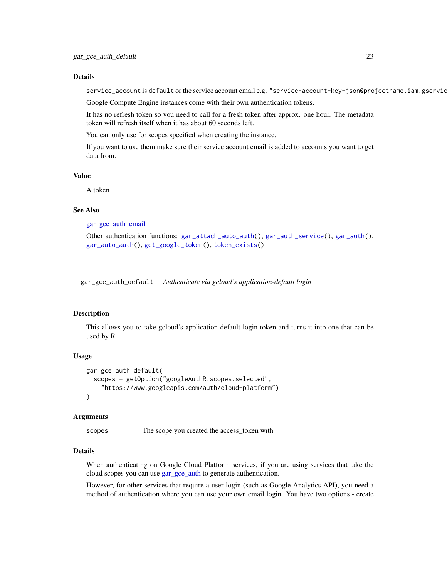#### <span id="page-22-0"></span>Details

service\_account is default or the service account email e.g. "service-account-key-json@projectname.iam.gservic

Google Compute Engine instances come with their own authentication tokens.

It has no refresh token so you need to call for a fresh token after approx. one hour. The metadata token will refresh itself when it has about 60 seconds left.

You can only use for scopes specified when creating the instance.

If you want to use them make sure their service account email is added to accounts you want to get data from.

#### Value

A token

#### See Also

[gar\\_gce\\_auth\\_email](#page-23-1)

```
Other authentication functions: gar_attach_auto_auth(), gar_auth_service(), gar_auth(),
gar_auto_auth(), get_google_token(), token_exists()
```
gar\_gce\_auth\_default *Authenticate via gcloud's application-default login*

#### Description

This allows you to take gcloud's application-default login token and turns it into one that can be used by R

#### Usage

```
gar_gce_auth_default(
  scopes = getOption("googleAuthR.scopes.selected",
    "https://www.googleapis.com/auth/cloud-platform")
\mathcal{L}
```
#### Arguments

scopes The scope you created the access\_token with

#### Details

When authenticating on Google Cloud Platform services, if you are using services that take the cloud scopes you can use [gar\\_gce\\_auth](#page-21-1) to generate authentication.

However, for other services that require a user login (such as Google Analytics API), you need a method of authentication where you can use your own email login. You have two options - create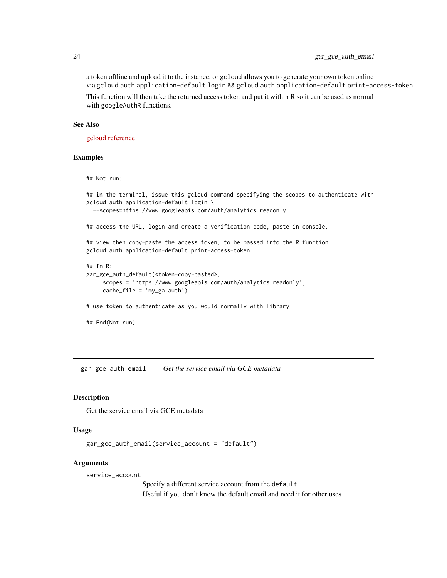## <span id="page-23-0"></span>24 gar\_gce\_auth\_email

a token offline and upload it to the instance, or gcloud allows you to generate your own token online via gcloud auth application-default login && gcloud auth application-default print-access-token

This function will then take the returned access token and put it within R so it can be used as normal with googleAuthR functions.

#### See Also

[gcloud reference](https://cloud.google.com/sdk/gcloud/reference/auth/application-default/print-access-token)

#### Examples

## Not run:

```
## in the terminal, issue this gcloud command specifying the scopes to authenticate with
gcloud auth application-default login \
 --scopes=https://www.googleapis.com/auth/analytics.readonly
## access the URL, login and create a verification code, paste in console.
## view then copy-paste the access token, to be passed into the R function
gcloud auth application-default print-access-token
## In R:
gar_gce_auth_default(<token-copy-pasted>,
     scopes = 'https://www.googleapis.com/auth/analytics.readonly',
     cache_file = 'my_ga.auth')
# use token to authenticate as you would normally with library
## End(Not run)
```
<span id="page-23-1"></span>gar\_gce\_auth\_email *Get the service email via GCE metadata*

## **Description**

Get the service email via GCE metadata

#### Usage

```
gar_gce_auth_email(service_account = "default")
```
#### Arguments

service\_account

Specify a different service account from the default Useful if you don't know the default email and need it for other uses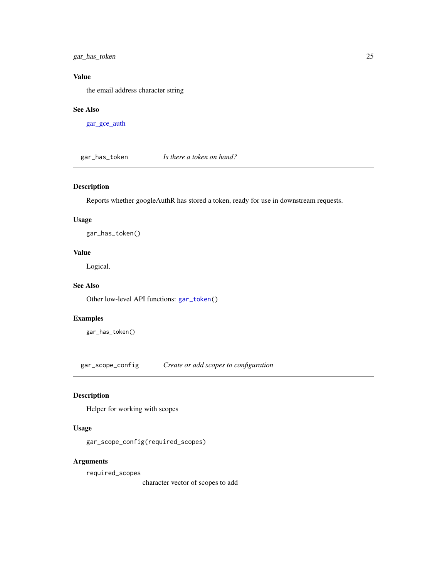<span id="page-24-0"></span>gar\_has\_token 25

## Value

the email address character string

### See Also

[gar\\_gce\\_auth](#page-21-1)

<span id="page-24-1"></span>gar\_has\_token *Is there a token on hand?*

## Description

Reports whether googleAuthR has stored a token, ready for use in downstream requests.

#### Usage

gar\_has\_token()

## Value

Logical.

## See Also

Other low-level API functions: [gar\\_token\(](#page-40-1))

#### Examples

gar\_has\_token()

gar\_scope\_config *Create or add scopes to configuration*

## Description

Helper for working with scopes

## Usage

gar\_scope\_config(required\_scopes)

## Arguments

required\_scopes

character vector of scopes to add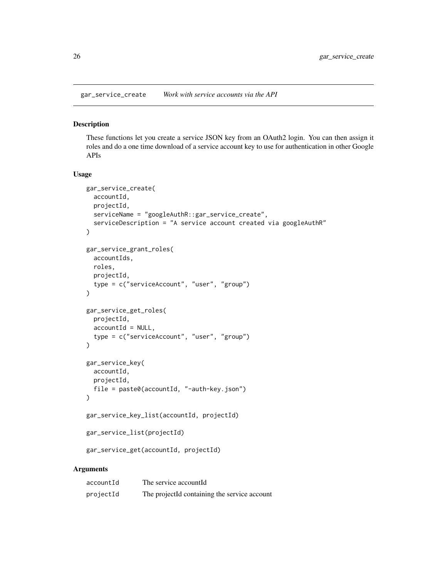<span id="page-25-2"></span><span id="page-25-0"></span>gar\_service\_create *Work with service accounts via the API*

## <span id="page-25-1"></span>Description

These functions let you create a service JSON key from an OAuth2 login. You can then assign it roles and do a one time download of a service account key to use for authentication in other Google APIs

#### Usage

```
gar_service_create(
  accountId,
 projectId,
 serviceName = "googleAuthR::gar_service_create",
  serviceDescription = "A service account created via googleAuthR"
)
gar_service_grant_roles(
  accountIds,
 roles,
 projectId,
  type = c("serviceAccount", "user", "group")
\lambdagar_service_get_roles(
  projectId,
  accountId = NULL,type = c("serviceAccount", "user", "group")
\lambdagar_service_key(
 accountId,
 projectId,
 file = paste0(accountId, "-auth-key.json")
)
gar_service_key_list(accountId, projectId)
gar_service_list(projectId)
gar_service_get(accountId, projectId)
```
#### Arguments

| accountId | The service accountId                        |
|-----------|----------------------------------------------|
| projectId | The projectId containing the service account |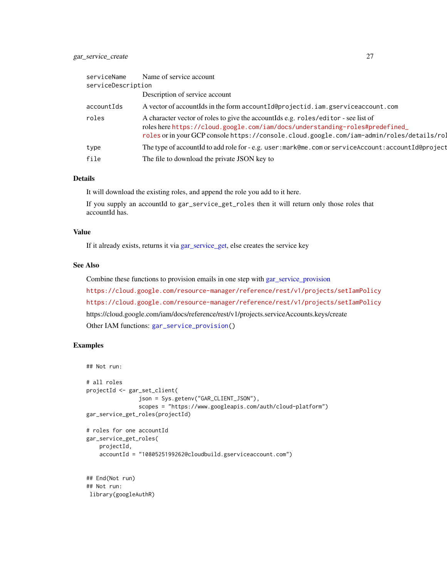## <span id="page-26-0"></span>gar\_service\_create 27

| serviceName        | Name of service account                                                                                                                                                                                                                                         |  |
|--------------------|-----------------------------------------------------------------------------------------------------------------------------------------------------------------------------------------------------------------------------------------------------------------|--|
| serviceDescription |                                                                                                                                                                                                                                                                 |  |
|                    | Description of service account                                                                                                                                                                                                                                  |  |
| accountIds         | A vector of accountids in the form accountide projectid. iam. gservice account. com                                                                                                                                                                             |  |
| roles              | A character vector of roles to give the accountIds e.g. roles/editor - see list of<br>roles here https://cloud.google.com/iam/docs/understanding-roles#predefined_<br>roles or in your GCP console https://console.cloud.google.com/iam-admin/roles/details/rol |  |
| type               | The type of accountId to add role for - e.g. user: mark@me.com or serviceAccount: accountId@project                                                                                                                                                             |  |
| file               | The file to download the private JSON key to                                                                                                                                                                                                                    |  |

#### Details

It will download the existing roles, and append the role you add to it here.

If you supply an accountId to gar\_service\_get\_roles then it will return only those roles that accountId has.

## Value

If it already exists, returns it via [gar\\_service\\_get,](#page-25-1) else creates the service key

#### See Also

Combine these functions to provision emails in one step with [gar\\_service\\_provision](#page-27-1) <https://cloud.google.com/resource-manager/reference/rest/v1/projects/setIamPolicy> <https://cloud.google.com/resource-manager/reference/rest/v1/projects/setIamPolicy> https://cloud.google.com/iam/docs/reference/rest/v1/projects.serviceAccounts.keys/create Other IAM functions: [gar\\_service\\_provision\(](#page-27-1))

## Examples

```
## Not run:
# all roles
projectId <- gar_set_client(
                json = Sys.getenv("GAR_CLIENT_JSON"),
                scopes = "https://www.googleapis.com/auth/cloud-platform")
gar_service_get_roles(projectId)
# roles for one accountId
gar_service_get_roles(
   projectId,
   accountId = "1080525199262@cloudbuild.gserviceaccount.com")
## End(Not run)
## Not run:
library(googleAuthR)
```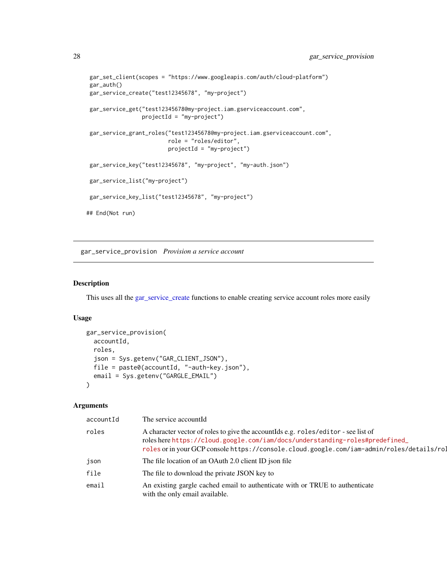```
gar_set_client(scopes = "https://www.googleapis.com/auth/cloud-platform")
gar_auth()
gar_service_create("test12345678", "my-project")
gar_service_get("test12345678@my-project.iam.gserviceaccount.com",
                 projectId = "my-project")
gar_service_grant_roles("test12345678@my-project.iam.gserviceaccount.com",
                        role = "roles/editor",
                        projectId = "my-project")
gar_service_key("test12345678", "my-project", "my-auth.json")
gar_service_list("my-project")
gar_service_key_list("test12345678", "my-project")
## End(Not run)
```
<span id="page-27-1"></span>gar\_service\_provision *Provision a service account*

#### Description

This uses all the [gar\\_service\\_create](#page-25-2) functions to enable creating service account roles more easily

#### Usage

```
gar_service_provision(
 accountId,
 roles,
  json = Sys.getenv("GAR_CLIENT_JSON"),
 file = paste0(accountId, "-auth-key.json"),
 email = Sys.getenv("GARGLE_EMAIL")
)
```
## Arguments

| accountId | The service accountId                                                                                                                                                                                                                                           |
|-----------|-----------------------------------------------------------------------------------------------------------------------------------------------------------------------------------------------------------------------------------------------------------------|
| roles     | A character vector of roles to give the account of e.g. roles/editor - see list of<br>roles here https://cloud.google.com/iam/docs/understanding-roles#predefined_<br>roles or in your GCP console https://console.cloud.google.com/iam-admin/roles/details/rol |
| json      | The file location of an OAuth 2.0 client ID json file                                                                                                                                                                                                           |
| file      | The file to download the private JSON key to                                                                                                                                                                                                                    |
| email     | An existing gargle cached email to authenticate with or TRUE to authenticate<br>with the only email available.                                                                                                                                                  |

<span id="page-27-0"></span>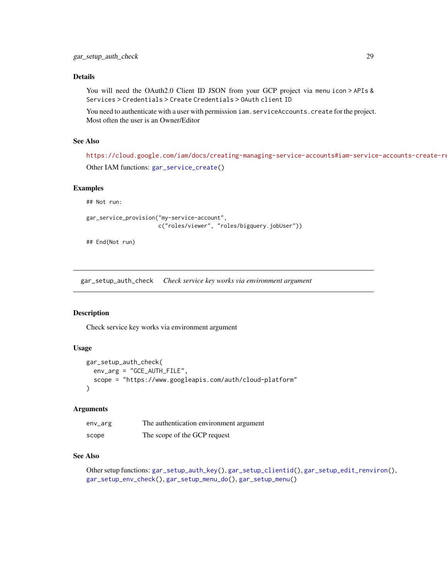## <span id="page-28-0"></span>Details

You will need the OAuth2.0 Client ID JSON from your GCP project via menu icon > APIs & Services > Credentials > Create Credentials > OAuth client ID

You need to authenticate with a user with permission iam. serviceAccounts. create for the project. Most often the user is an Owner/Editor

## See Also

<https://cloud.google.com/iam/docs/creating-managing-service-accounts#iam-service-accounts-create-rest> Other IAM functions: [gar\\_service\\_create\(](#page-25-2))

#### Examples

## Not run:

```
gar_service_provision("my-service-account",
                      c("roles/viewer", "roles/bigquery.jobUser"))
```
## End(Not run)

<span id="page-28-1"></span>gar\_setup\_auth\_check *Check service key works via environment argument*

## Description

Check service key works via environment argument

#### Usage

```
gar_setup_auth_check(
 env_arg = "GCE_AUTH_FILE",
  scope = "https://www.googleapis.com/auth/cloud-platform"
\mathcal{L}
```
## Arguments

| env_arg | The authentication environment argument |
|---------|-----------------------------------------|
| scope   | The scope of the GCP request            |

#### See Also

```
Other setup functions: gar_setup_auth_key(), gar_setup_clientid(), gar_setup_edit_renviron(),
gar_setup_env_check(), gar_setup_menu_do(), gar_setup_menu()
```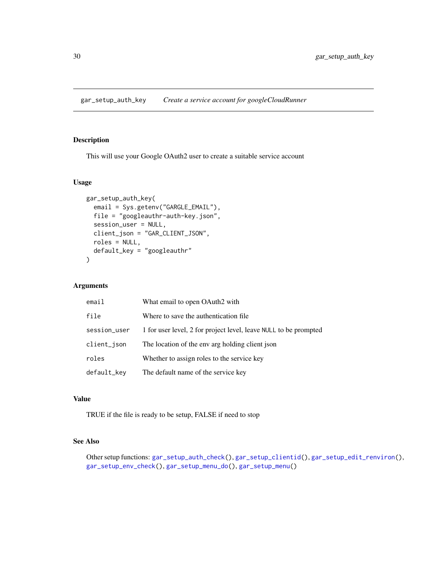<span id="page-29-1"></span><span id="page-29-0"></span>gar\_setup\_auth\_key *Create a service account for googleCloudRunner*

## Description

This will use your Google OAuth2 user to create a suitable service account

## Usage

```
gar_setup_auth_key(
 email = Sys.getenv("GARGLE_EMAIL"),
 file = "googleauthr-auth-key.json",
 session_user = NULL,
 client_json = "GAR_CLIENT_JSON",
 roles = NULL,
 default_key = "googleauthr"
)
```
## Arguments

| email        | What email to open OAuth2 with                                   |
|--------------|------------------------------------------------------------------|
| file         | Where to save the authentication file.                           |
| session_user | 1 for user level, 2 for project level, leave NULL to be prompted |
| client_json  | The location of the env arg holding client json                  |
| roles        | Whether to assign roles to the service key                       |
| default_key  | The default name of the service key                              |

## Value

TRUE if the file is ready to be setup, FALSE if need to stop

## See Also

Other setup functions: [gar\\_setup\\_auth\\_check\(](#page-28-1)), [gar\\_setup\\_clientid\(](#page-30-1)), [gar\\_setup\\_edit\\_renviron\(](#page-30-2)), [gar\\_setup\\_env\\_check\(](#page-31-1)), [gar\\_setup\\_menu\\_do\(](#page-33-1)), [gar\\_setup\\_menu\(](#page-32-1))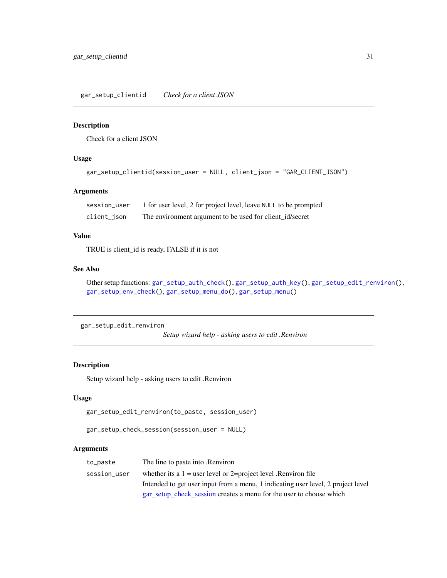## <span id="page-30-1"></span><span id="page-30-0"></span>Description

Check for a client JSON

## Usage

```
gar_setup_clientid(session_user = NULL, client_json = "GAR_CLIENT_JSON")
```
## Arguments

| session_user | 1 for user level, 2 for project level, leave NULL to be prompted |
|--------------|------------------------------------------------------------------|
| client_json  | The environment argument to be used for client_id/secret         |

## Value

TRUE is client\_id is ready, FALSE if it is not

## See Also

Other setup functions: [gar\\_setup\\_auth\\_check\(](#page-28-1)), [gar\\_setup\\_auth\\_key\(](#page-29-1)), [gar\\_setup\\_edit\\_renviron\(](#page-30-2)), [gar\\_setup\\_env\\_check\(](#page-31-1)), [gar\\_setup\\_menu\\_do\(](#page-33-1)), [gar\\_setup\\_menu\(](#page-32-1))

```
gar_setup_edit_renviron
```
*Setup wizard help - asking users to edit .Renviron*

## <span id="page-30-3"></span>Description

Setup wizard help - asking users to edit .Renviron

#### Usage

gar\_setup\_edit\_renviron(to\_paste, session\_user)

```
gar_setup_check_session(session_user = NULL)
```
#### Arguments

| to_paste     | The line to paste into .Renviron                                                 |
|--------------|----------------------------------------------------------------------------------|
| session_user | whether its a $1 =$ user level or 2=project level. Renviron file                 |
|              | Intended to get user input from a menu, 1 indicating user level, 2 project level |
|              | gar_setup_check_session creates a menu for the user to choose which              |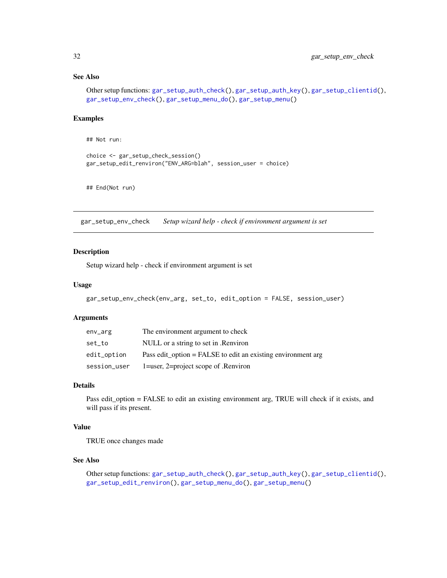## See Also

```
Other setup functions: gar_setup_auth_check(), gar_setup_auth_key(), gar_setup_clientid(),
gar_setup_env_check(), gar_setup_menu_do(), gar_setup_menu()
```
#### Examples

## Not run:

```
choice <- gar_setup_check_session()
gar_setup_edit_renviron("ENV_ARG=blah", session_user = choice)
```
## End(Not run)

<span id="page-31-1"></span>gar\_setup\_env\_check *Setup wizard help - check if environment argument is set*

## Description

Setup wizard help - check if environment argument is set

## Usage

```
gar_setup_env_check(env_arg, set_to, edit_option = FALSE, session_user)
```
#### Arguments

| env_arg      | The environment argument to check                              |
|--------------|----------------------------------------------------------------|
| set_to       | NULL or a string to set in .Renviron                           |
| edit_option  | Pass edit option $=$ FALSE to edit an existing environment arg |
| session_user | 1=user, 2=project scope of .Renviron                           |

## Details

Pass edit\_option = FALSE to edit an existing environment arg, TRUE will check if it exists, and will pass if its present.

#### Value

TRUE once changes made

#### See Also

Other setup functions: [gar\\_setup\\_auth\\_check\(](#page-28-1)), [gar\\_setup\\_auth\\_key\(](#page-29-1)), [gar\\_setup\\_clientid\(](#page-30-1)), [gar\\_setup\\_edit\\_renviron\(](#page-30-2)), [gar\\_setup\\_menu\\_do\(](#page-33-1)), [gar\\_setup\\_menu\(](#page-32-1))

<span id="page-31-0"></span>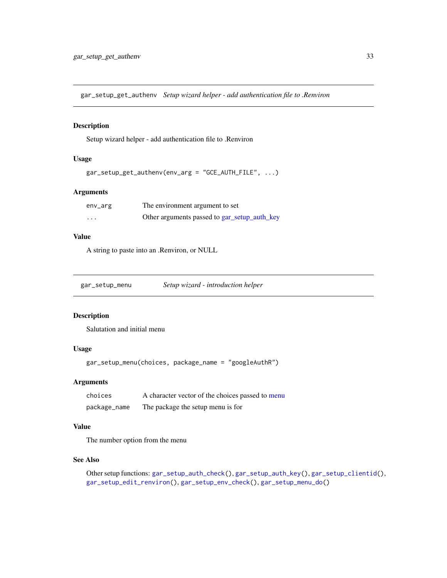<span id="page-32-0"></span>gar\_setup\_get\_authenv *Setup wizard helper - add authentication file to .Renviron*

## Description

Setup wizard helper - add authentication file to .Renviron

## Usage

```
gar_setup_get_authenv(env_arg = "GCE_AUTH_FILE", ...)
```
## Arguments

| env_arg | The environment argument to set              |
|---------|----------------------------------------------|
| $\cdot$ | Other arguments passed to gar_setup_auth_key |

## Value

A string to paste into an .Renviron, or NULL

<span id="page-32-1"></span>

| gar_setup_menu | Setup wizard - introduction helper |  |
|----------------|------------------------------------|--|
|                |                                    |  |

## Description

Salutation and initial menu

## Usage

gar\_setup\_menu(choices, package\_name = "googleAuthR")

#### Arguments

| choices      | A character vector of the choices passed to menu |
|--------------|--------------------------------------------------|
| package_name | The package the setup menu is for                |

## Value

The number option from the menu

#### See Also

Other setup functions: [gar\\_setup\\_auth\\_check\(](#page-28-1)), [gar\\_setup\\_auth\\_key\(](#page-29-1)), [gar\\_setup\\_clientid\(](#page-30-1)), [gar\\_setup\\_edit\\_renviron\(](#page-30-2)), [gar\\_setup\\_env\\_check\(](#page-31-1)), [gar\\_setup\\_menu\\_do\(](#page-33-1))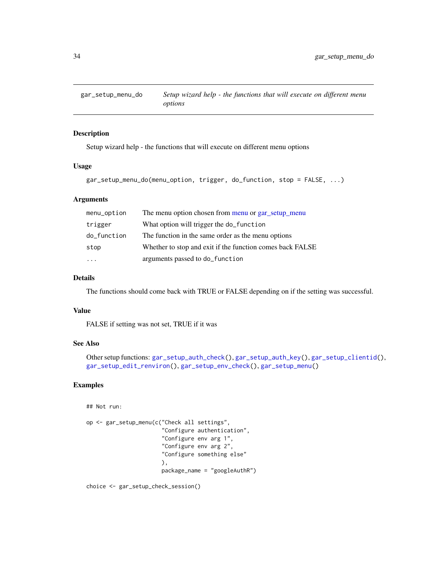<span id="page-33-1"></span><span id="page-33-0"></span>

## Description

Setup wizard help - the functions that will execute on different menu options

#### Usage

```
gar_setup_menu_do(menu_option, trigger, do_function, stop = FALSE, ...)
```
## Arguments

| menu_option | The menu option chosen from menu or gar_setup_menu        |
|-------------|-----------------------------------------------------------|
| trigger     | What option will trigger the do_function                  |
| do_function | The function in the same order as the menu options        |
| stop        | Whether to stop and exit if the function comes back FALSE |
|             | arguments passed to do_function                           |

## Details

The functions should come back with TRUE or FALSE depending on if the setting was successful.

## Value

FALSE if setting was not set, TRUE if it was

## See Also

```
Other setup functions: gar_setup_auth_check(), gar_setup_auth_key(), gar_setup_clientid(),
gar_setup_edit_renviron(), gar_setup_env_check(), gar_setup_menu()
```
## Examples

## Not run:

```
op <- gar_setup_menu(c("Check all settings",
                       "Configure authentication",
                       "Configure env arg 1",
                       "Configure env arg 2",
                       "Configure something else"
                       ),
                       package_name = "googleAuthR")
```
choice <- gar\_setup\_check\_session()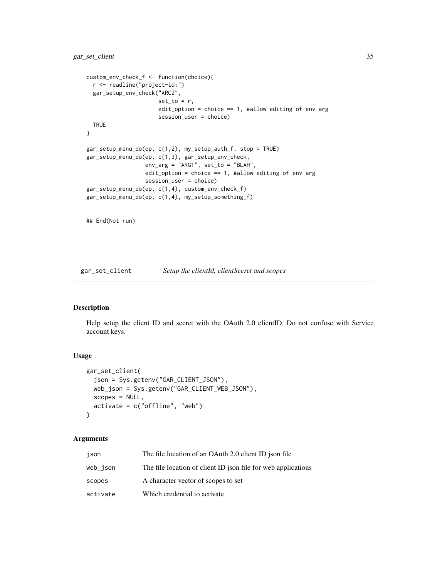```
custom_env_check_f <- function(choice){
  r <- readline("project-id:")
  gar_setup_env_check("ARG2",
                      set_to = r,
                      edit_option = choice == 1, #allow editing of env arg
                      session_user = choice)
  TRUE
}
gar_setup_menu_do(op, c(1,2), my_setup_auth_f, stop = TRUE)
gar_setup_menu_do(op, c(1,3), gar_setup_env_check,
                  env_arg = "ARG1", set_to = "BLAH",
                  edit_option = choice == 1, #allow editing of env arg
                  session_user = choice)
gar_setup_menu_do(op, c(1,4), custom_env_check_f)
gar_setup_menu_do(op, c(1,4), my_setup_something_f)
## End(Not run)
```
gar\_set\_client *Setup the clientId, clientSecret and scopes*

#### Description

Help setup the client ID and secret with the OAuth 2.0 clientID. Do not confuse with Service account keys.

#### Usage

```
gar_set_client(
  json = Sys.getenv("GAR_CLIENT_JSON"),
 web_json = Sys.getenv("GAR_CLIENT_WEB_JSON"),
  scopes = NULL,
 activate = c("offline", "web")
\lambda
```
#### Arguments

| json     | The file location of an OAuth 2.0 client ID json file         |
|----------|---------------------------------------------------------------|
| web_ison | The file location of client ID json file for web applications |
| scopes   | A character vector of scopes to set                           |
| activate | Which credential to activate                                  |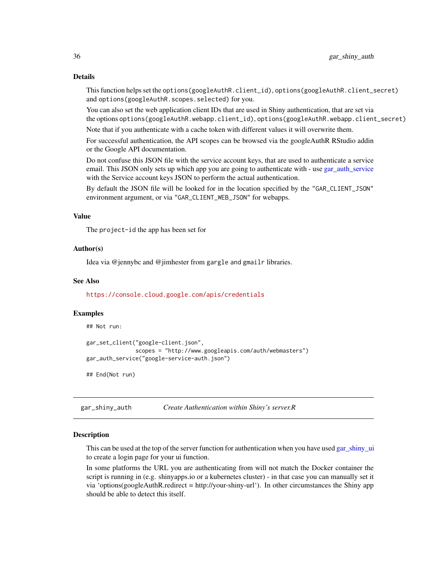This function helps set the options(googleAuthR.client\_id), options(googleAuthR.client\_secret) and options(googleAuthR.scopes.selected) for you.

You can also set the web application client IDs that are used in Shiny authentication, that are set via the options options(googleAuthR.webapp.client\_id), options(googleAuthR.webapp.client\_secret)

Note that if you authenticate with a cache token with different values it will overwrite them.

For successful authentication, the API scopes can be browsed via the googleAuthR RStudio addin or the Google API documentation.

Do not confuse this JSON file with the service account keys, that are used to authenticate a service email. This JSON only sets up which app you are going to authenticate with - use [gar\\_auth\\_service](#page-9-1) with the Service account keys JSON to perform the actual authentication.

By default the JSON file will be looked for in the location specified by the "GAR\_CLIENT\_JSON" environment argument, or via "GAR\_CLIENT\_WEB\_JSON" for webapps.

### Value

The project-id the app has been set for

#### Author(s)

Idea via @jennybc and @jimhester from gargle and gmailr libraries.

#### See Also

<https://console.cloud.google.com/apis/credentials>

#### Examples

```
## Not run:
gar_set_client("google-client.json",
               scopes = "http://www.googleapis.com/auth/webmasters")
gar_auth_service("google-service-auth.json")
## End(Not run)
```
<span id="page-35-1"></span>gar\_shiny\_auth *Create Authentication within Shiny's server.R*

#### **Description**

This can be used at the top of the server function for authentication when you have used [gar\\_shiny\\_ui](#page-38-1) to create a login page for your ui function.

In some platforms the URL you are authenticating from will not match the Docker container the script is running in (e.g. shinyapps.io or a kubernetes cluster) - in that case you can manually set it via 'options(googleAuthR.redirect = http://your-shiny-url'). In other circumstances the Shiny app should be able to detect this itself.

<span id="page-35-0"></span>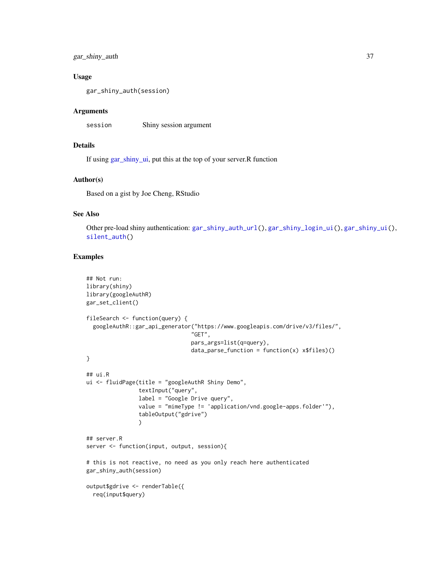<span id="page-36-0"></span>gar\_shiny\_auth 37

## Usage

gar\_shiny\_auth(session)

#### Arguments

session Shiny session argument

## Details

If using [gar\\_shiny\\_ui,](#page-38-1) put this at the top of your server.R function

### Author(s)

Based on a gist by Joe Cheng, RStudio

## See Also

Other pre-load shiny authentication: [gar\\_shiny\\_auth\\_url\(](#page-37-1)), [gar\\_shiny\\_login\\_ui\(](#page-38-2)), [gar\\_shiny\\_ui\(](#page-38-1)), [silent\\_auth\(](#page-43-1))

## Examples

```
## Not run:
library(shiny)
library(googleAuthR)
gar_set_client()
fileSearch <- function(query) {
  googleAuthR::gar_api_generator("https://www.googleapis.com/drive/v3/files/",
                                "GET",
                                pars_args=list(q=query),
                                data\_parse\_function = function(x) x$files()}
## ui.R
ui <- fluidPage(title = "googleAuthR Shiny Demo",
                textInput("query",
                label = "Google Drive query",
                value = "mimeType != 'application/vnd.google-apps.folder'"),
                tableOutput("gdrive")
                )
## server.R
server <- function(input, output, session){
# this is not reactive, no need as you only reach here authenticated
gar_shiny_auth(session)
output$gdrive <- renderTable({
  req(input$query)
```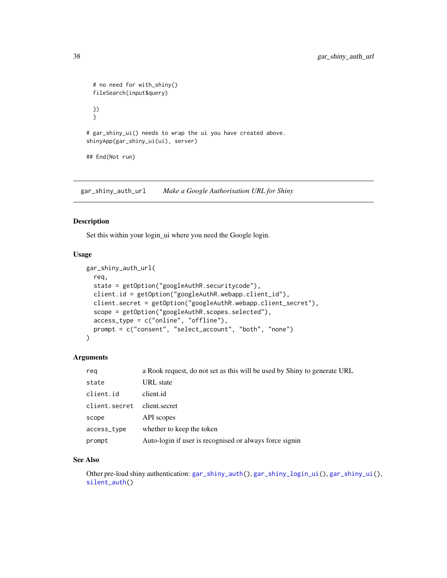```
# no need for with_shiny()
 fileSearch(input$query)
 })
 }
# gar_shiny_ui() needs to wrap the ui you have created above.
shinyApp(gar_shiny_ui(ui), server)
## End(Not run)
```
<span id="page-37-1"></span>gar\_shiny\_auth\_url *Make a Google Authorisation URL for Shiny*

## Description

Set this within your login\_ui where you need the Google login.

#### Usage

```
gar_shiny_auth_url(
  req,
  state = getOption("googleAuthR.securitycode"),
 client.id = getOption("googleAuthR.webapp.client_id"),
 client.secret = getOption("googleAuthR.webapp.client_secret"),
  scope = getOption("googleAuthR.scopes.selected"),
  access_type = c("online", "offline"),
 prompt = c("consent", "select_account", "both", "none")
)
```
## Arguments

| reg           | a Rook request, do not set as this will be used by Shiny to generate URL |
|---------------|--------------------------------------------------------------------------|
| state         | URL state                                                                |
| client.id     | client.id                                                                |
| client.secret | client.secret                                                            |
| scope         | API scopes                                                               |
| access_type   | whether to keep the token                                                |
| prompt        | Auto-login if user is recognised or always force signin                  |

#### See Also

Other pre-load shiny authentication: [gar\\_shiny\\_auth\(](#page-35-1)), [gar\\_shiny\\_login\\_ui\(](#page-38-2)), [gar\\_shiny\\_ui\(](#page-38-1)), [silent\\_auth\(](#page-43-1))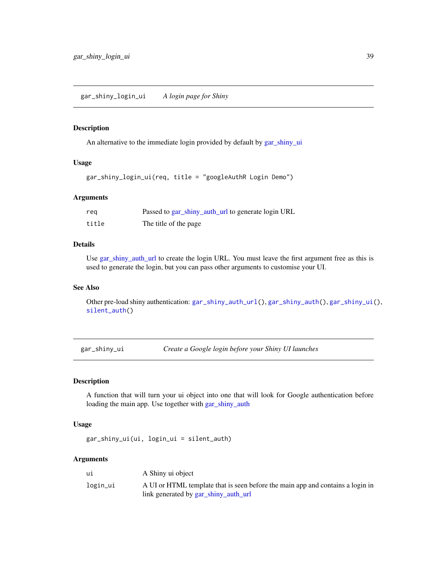## <span id="page-38-2"></span><span id="page-38-0"></span>Description

An alternative to the immediate login provided by default by [gar\\_shiny\\_ui](#page-38-1)

#### Usage

```
gar_shiny_login_ui(req, title = "googleAuthR Login Demo")
```
## Arguments

| reg   | Passed to gar_shiny_auth_url to generate login URL |
|-------|----------------------------------------------------|
| title | The title of the page                              |

## Details

Use [gar\\_shiny\\_auth\\_url](#page-37-1) to create the login URL. You must leave the first argument free as this is used to generate the login, but you can pass other arguments to customise your UI.

#### See Also

Other pre-load shiny authentication: [gar\\_shiny\\_auth\\_url\(](#page-37-1)), [gar\\_shiny\\_auth\(](#page-35-1)), [gar\\_shiny\\_ui\(](#page-38-1)), [silent\\_auth\(](#page-43-1))

<span id="page-38-1"></span>gar\_shiny\_ui *Create a Google login before your Shiny UI launches*

#### Description

A function that will turn your ui object into one that will look for Google authentication before loading the main app. Use together with [gar\\_shiny\\_auth](#page-35-1)

#### Usage

gar\_shiny\_ui(ui, login\_ui = silent\_auth)

## Arguments

| ui       | A Shiny ui object                                                              |
|----------|--------------------------------------------------------------------------------|
| login_ui | A UI or HTML template that is seen before the main app and contains a login in |
|          | link generated by gar_shiny_auth_url                                           |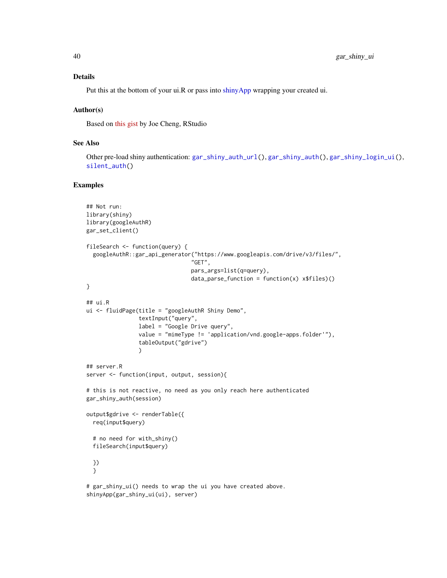#### <span id="page-39-0"></span>Details

Put this at the bottom of your ui.R or pass into [shinyApp](#page-0-0) wrapping your created ui.

#### Author(s)

Based on [this gist](https://gist.github.com/jcheng5/44bd750764713b5a1df7d9daf5538aea) by Joe Cheng, RStudio

shinyApp(gar\_shiny\_ui(ui), server)

## See Also

Other pre-load shiny authentication: [gar\\_shiny\\_auth\\_url\(](#page-37-1)), [gar\\_shiny\\_auth\(](#page-35-1)), [gar\\_shiny\\_login\\_ui\(](#page-38-2)), [silent\\_auth\(](#page-43-1))

## Examples

```
## Not run:
library(shiny)
library(googleAuthR)
gar_set_client()
fileSearch <- function(query) {
  googleAuthR::gar_api_generator("https://www.googleapis.com/drive/v3/files/",
                                "GET",
                                pars_args=list(q=query),
                                data\_parse\_function = function(x) x$files()}
## ui.R
ui <- fluidPage(title = "googleAuthR Shiny Demo",
                textInput("query",
                label = "Google Drive query",
                value = "mimeType != 'application/vnd.google-apps.folder'"),
                tableOutput("gdrive")
                )
## server.R
server <- function(input, output, session){
# this is not reactive, no need as you only reach here authenticated
gar_shiny_auth(session)
output$gdrive <- renderTable({
  req(input$query)
  # no need for with_shiny()
  fileSearch(input$query)
  })
  }
# gar_shiny_ui() needs to wrap the ui you have created above.
```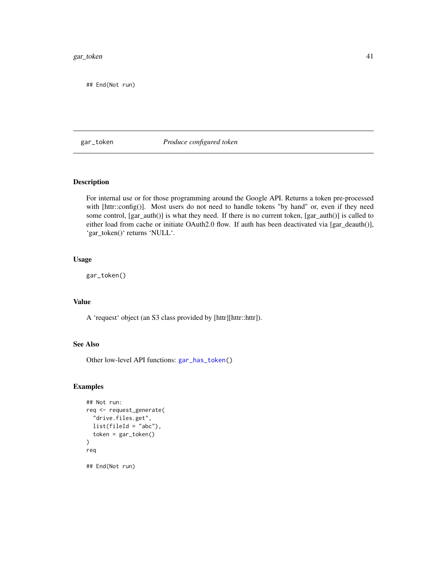#### <span id="page-40-0"></span>gar\_token 41

## End(Not run)

#### <span id="page-40-1"></span>gar\_token *Produce configured token*

## Description

For internal use or for those programming around the Google API. Returns a token pre-processed with [httr::config()]. Most users do not need to handle tokens "by hand" or, even if they need some control, [gar\_auth()] is what they need. If there is no current token, [gar\_auth()] is called to either load from cache or initiate OAuth2.0 flow. If auth has been deactivated via [gar\_deauth()], 'gar\_token()' returns 'NULL'.

#### Usage

gar\_token()

#### Value

A 'request' object (an S3 class provided by [httr][httr::httr]).

## See Also

Other low-level API functions: [gar\\_has\\_token\(](#page-24-1))

#### Examples

```
## Not run:
req <- request_generate(
 "drive.files.get",
 list(filed = "abc"),
 token = gar_token()
)
req
```
## End(Not run)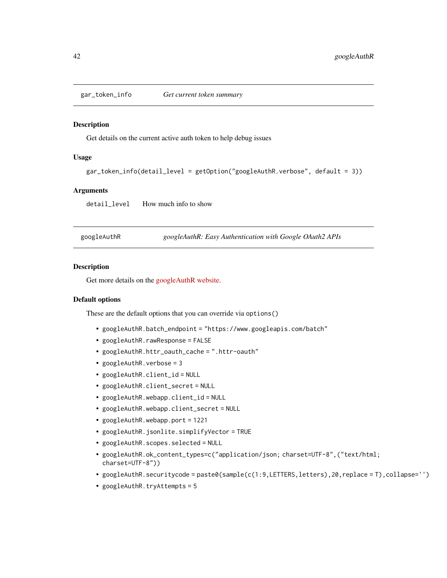<span id="page-41-0"></span>

#### Description

Get details on the current active auth token to help debug issues

#### Usage

```
gar_token_info(detail_level = getOption("googleAuthR.verbose", default = 3))
```
#### Arguments

detail\_level How much info to show

| googleAuthR |  | googleAuthR: Easy Authentication with Google OAuth2 APIs |
|-------------|--|----------------------------------------------------------|
|             |  |                                                          |

## Description

Get more details on the [googleAuthR website.](https://code.markedmondson.me/googleAuthR/)

## Default options

These are the default options that you can override via options()

- googleAuthR.batch\_endpoint = "https://www.googleapis.com/batch"
- googleAuthR.rawResponse = FALSE
- googleAuthR.httr\_oauth\_cache = ".httr-oauth"
- googleAuthR.verbose = 3
- googleAuthR.client\_id = NULL
- googleAuthR.client\_secret = NULL
- googleAuthR.webapp.client\_id = NULL
- googleAuthR.webapp.client\_secret = NULL
- googleAuthR.webapp.port = 1221
- googleAuthR.jsonlite.simplifyVector = TRUE
- googleAuthR.scopes.selected = NULL
- googleAuthR.ok\_content\_types=c("application/json; charset=UTF-8",("text/html; charset=UTF-8"))
- googleAuthR.securitycode = paste0(sample(c(1:9,LETTERS,letters),20,replace = T),collapse='')
- googleAuthR.tryAttempts = 5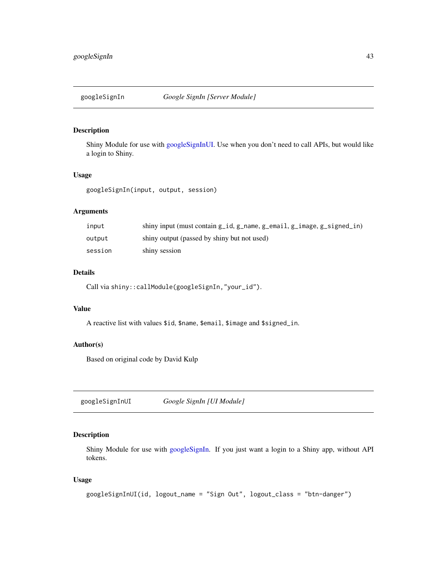<span id="page-42-2"></span><span id="page-42-0"></span>

#### Description

Shiny Module for use with [googleSignInUI.](#page-42-1) Use when you don't need to call APIs, but would like a login to Shiny.

#### Usage

googleSignIn(input, output, session)

## Arguments

| input   | shiny input (must contain g_id, g_name, g_email, g_image, g_signed_in) |
|---------|------------------------------------------------------------------------|
| output  | shiny output (passed by shiny but not used)                            |
| session | shiny session                                                          |

## Details

Call via shiny::callModule(googleSignIn,"your\_id").

## Value

A reactive list with values \$id, \$name, \$email, \$image and \$signed\_in.

## Author(s)

Based on original code by David Kulp

<span id="page-42-1"></span>googleSignInUI *Google SignIn [UI Module]*

## Description

Shiny Module for use with [googleSignIn.](#page-42-2) If you just want a login to a Shiny app, without API tokens.

#### Usage

```
googleSignInUI(id, logout_name = "Sign Out", logout_class = "btn-danger")
```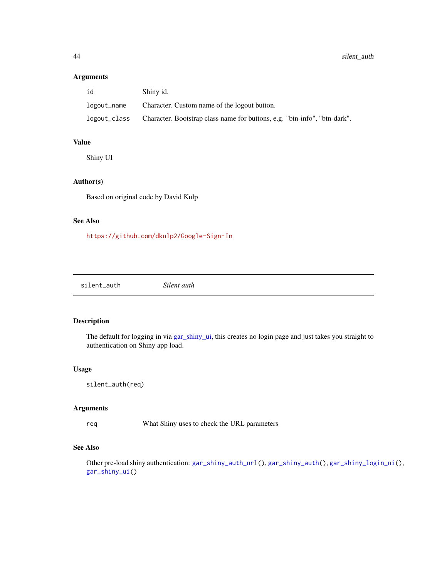## <span id="page-43-0"></span>Arguments

| id           | Shiny id.                                                                 |
|--------------|---------------------------------------------------------------------------|
| logout_name  | Character. Custom name of the logout button.                              |
| logout_class | Character. Bootstrap class name for buttons, e.g. "btn-info", "btn-dark". |

## Value

Shiny UI

## Author(s)

Based on original code by David Kulp

## See Also

<https://github.com/dkulp2/Google-Sign-In>

<span id="page-43-1"></span>silent\_auth *Silent auth*

## Description

The default for logging in via [gar\\_shiny\\_ui,](#page-38-1) this creates no login page and just takes you straight to authentication on Shiny app load.

## Usage

```
silent_auth(req)
```
#### Arguments

req What Shiny uses to check the URL parameters

## See Also

Other pre-load shiny authentication: [gar\\_shiny\\_auth\\_url\(](#page-37-1)), [gar\\_shiny\\_auth\(](#page-35-1)), [gar\\_shiny\\_login\\_ui\(](#page-38-2)), [gar\\_shiny\\_ui\(](#page-38-1))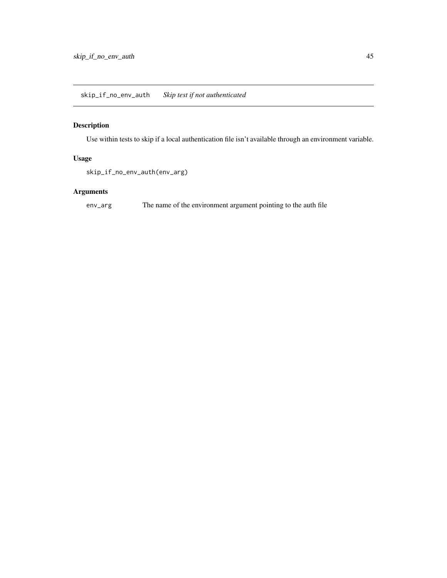## <span id="page-44-0"></span>Description

Use within tests to skip if a local authentication file isn't available through an environment variable.

## Usage

skip\_if\_no\_env\_auth(env\_arg)

## Arguments

env\_arg The name of the environment argument pointing to the auth file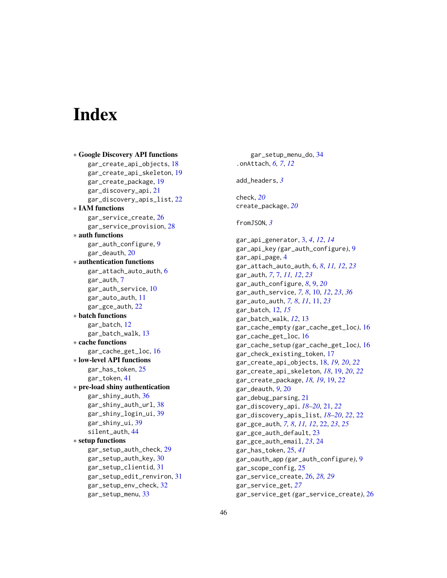# <span id="page-45-0"></span>**Index**

∗ Google Discovery API functions gar\_create\_api\_objects, [18](#page-17-0) gar\_create\_api\_skeleton, [19](#page-18-0) gar\_create\_package, [19](#page-18-0) gar\_discovery\_api, [21](#page-20-0) gar\_discovery\_apis\_list, [22](#page-21-0) ∗ IAM functions gar\_service\_create, [26](#page-25-0) gar\_service\_provision, [28](#page-27-0) ∗ auth functions gar\_auth\_configure, [9](#page-8-0) gar\_deauth, [20](#page-19-0) ∗ authentication functions gar\_attach\_auto\_auth, [6](#page-5-0) gar\_auth, [7](#page-6-0) gar\_auth\_service, [10](#page-9-0) gar\_auto\_auth, [11](#page-10-0) gar\_gce\_auth, [22](#page-21-0) ∗ batch functions gar\_batch, [12](#page-11-0) gar\_batch\_walk, [13](#page-12-0) ∗ cache functions gar\_cache\_get\_loc, [16](#page-15-0) ∗ low-level API functions gar\_has\_token, [25](#page-24-0) gar\_token, [41](#page-40-0) ∗ pre-load shiny authentication gar\_shiny\_auth, [36](#page-35-0) gar\_shiny\_auth\_url, [38](#page-37-0) gar\_shiny\_login\_ui, [39](#page-38-0) gar\_shiny\_ui, [39](#page-38-0) silent auth, [44](#page-43-0) ∗ setup functions gar\_setup\_auth\_check, [29](#page-28-0) gar\_setup\_auth\_key, [30](#page-29-0) gar\_setup\_clientid, [31](#page-30-0) gar\_setup\_edit\_renviron, [31](#page-30-0) gar\_setup\_env\_check, [32](#page-31-0) gar\_setup\_menu, [33](#page-32-0)

gar\_setup\_menu\_do, [34](#page-33-0) .onAttach, *[6,](#page-5-0) [7](#page-6-0)*, *[12](#page-11-0)* add\_headers, *[3](#page-2-0)* check, *[20](#page-19-0)* create\_package, *[20](#page-19-0)* fromJSON, *[3](#page-2-0)* gar\_api\_generator, [3,](#page-2-0) *[4](#page-3-0)*, *[12](#page-11-0)*, *[14](#page-13-0)* gar\_api\_key *(*gar\_auth\_configure*)*, [9](#page-8-0) gar\_api\_page, [4](#page-3-0) gar\_attach\_auto\_auth, [6,](#page-5-0) *[8](#page-7-0)*, *[11,](#page-10-0) [12](#page-11-0)*, *[23](#page-22-0)* gar\_auth, *[7](#page-6-0)*, [7,](#page-6-0) *[11,](#page-10-0) [12](#page-11-0)*, *[23](#page-22-0)* gar\_auth\_configure, *[8](#page-7-0)*, [9,](#page-8-0) *[20](#page-19-0)* gar\_auth\_service, *[7,](#page-6-0) [8](#page-7-0)*, [10,](#page-9-0) *[12](#page-11-0)*, *[23](#page-22-0)*, *[36](#page-35-0)* gar\_auto\_auth, *[7,](#page-6-0) [8](#page-7-0)*, *[11](#page-10-0)*, [11,](#page-10-0) *[23](#page-22-0)* gar\_batch, [12,](#page-11-0) *[15](#page-14-0)* gar\_batch\_walk, *[12](#page-11-0)*, [13](#page-12-0) gar\_cache\_empty *(*gar\_cache\_get\_loc*)*, [16](#page-15-0) gar\_cache\_get\_loc, [16](#page-15-0) gar\_cache\_setup *(*gar\_cache\_get\_loc*)*, [16](#page-15-0) gar\_check\_existing\_token, [17](#page-16-0) gar\_create\_api\_objects, [18,](#page-17-0) *[19,](#page-18-0) [20](#page-19-0)*, *[22](#page-21-0)* gar\_create\_api\_skeleton, *[18](#page-17-0)*, [19,](#page-18-0) *[20](#page-19-0)*, *[22](#page-21-0)* gar\_create\_package, *[18,](#page-17-0) [19](#page-18-0)*, [19,](#page-18-0) *[22](#page-21-0)* gar\_deauth, *[9](#page-8-0)*, [20](#page-19-0) gar\_debug\_parsing, [21](#page-20-0) gar\_discovery\_api, *[18](#page-17-0)[–20](#page-19-0)*, [21,](#page-20-0) *[22](#page-21-0)* gar\_discovery\_apis\_list, *[18](#page-17-0)[–20](#page-19-0)*, *[22](#page-21-0)*, [22](#page-21-0) gar\_gce\_auth, *[7,](#page-6-0) [8](#page-7-0)*, *[11,](#page-10-0) [12](#page-11-0)*, [22,](#page-21-0) *[23](#page-22-0)*, *[25](#page-24-0)* gar\_gce\_auth\_default, [23](#page-22-0) gar\_gce\_auth\_email, *[23](#page-22-0)*, [24](#page-23-0) gar\_has\_token, [25,](#page-24-0) *[41](#page-40-0)* gar\_oauth\_app *(*gar\_auth\_configure*)*, [9](#page-8-0) gar\_scope\_config, [25](#page-24-0) gar\_service\_create, [26,](#page-25-0) *[28,](#page-27-0) [29](#page-28-0)* gar\_service\_get, *[27](#page-26-0)* gar\_service\_get *(*gar\_service\_create*)*, [26](#page-25-0)